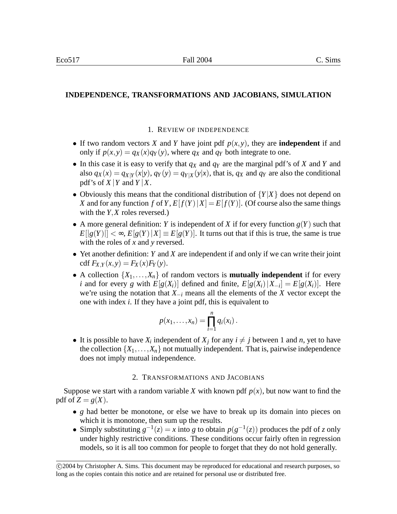# **INDEPENDENCE, TRANSFORMATIONS AND JACOBIANS, SIMULATION**

#### 1. REVIEW OF INDEPENDENCE

- If two random vectors *X* and *Y* have joint pdf  $p(x, y)$ , they are **independent** if and only if  $p(x, y) = q_X(x)q_Y(y)$ , where  $q_X$  and  $q_Y$  both integrate to one.
- In this case it is easy to verify that *q<sup>X</sup>* and *q<sup>Y</sup>* are the marginal pdf's of *X* and *Y* and also  $q_X(x) = q_{X|Y}(x|y)$ ,  $q_Y(y) = q_{Y|X}(y|x)$ , that is,  $q_X$  and  $q_Y$  are also the conditional pdf's of  $X|Y$  and  $Y|X$ .
- Obviously this means that the conditional distribution of  ${Y|X}$  does not depend on *X* and for any function *f* of *Y*,  $E[f(Y)|X] = E[f(Y)]$ . (Of course also the same things with the *Y*,*X* roles reversed.)
- A more general definition: *Y* is independent of *X* if for every function  $g(Y)$  such that  $E[|g(Y)|] < \infty$ ,  $E[g(Y)|X] \equiv E[g(Y)]$ . It turns out that if this is true, the same is true with the roles of *x* and *y* reversed.
- Yet another definition: *Y* and *X* are independent if and only if we can write their joint  $cdf F_{X,Y}(x, y) = F_X(x)F_Y(y).$
- A collection  $\{X_1, \ldots, X_n\}$  of random vectors is **mutually independent** if for every *i* and for every *g* with  $E[g(X_i)]$  defined and finite,  $E[g(X_i)|X_{-i}] = E[g(X_i)]$ . Here we're using the notation that *X*−*<sup>i</sup>* means all the elements of the *X* vector except the one with index *i*. If they have a joint pdf, this is equivalent to

$$
p(x_1,\ldots,x_n)=\prod_{i=1}^n q_i(x_i).
$$

• It is possible to have  $X_i$  independent of  $X_j$  for any  $i \neq j$  between 1 and *n*, yet to have the collection  $\{X_1, \ldots, X_n\}$  not mutually independent. That is, pairwise independence does not imply mutual independence.

### 2. TRANSFORMATIONS AND JACOBIANS

Suppose we start with a random variable *X* with known pdf  $p(x)$ , but now want to find the pdf of  $Z = g(X)$ .

- *g* had better be monotone, or else we have to break up its domain into pieces on which it is monotone, then sum up the results.
- Simply substituting  $g^{-1}(z) = x$  into *g* to obtain  $p(g^{-1}(z))$  produces the pdf of *z* only under highly restrictive conditions. These conditions occur fairly often in regression models, so it is all too common for people to forget that they do not hold generally.

c 2004 by Christopher A. Sims. This document may be reproduced for educational and research purposes, so long as the copies contain this notice and are retained for personal use or distributed free.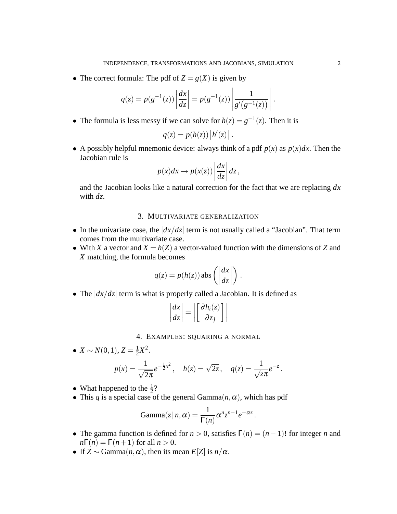• The correct formula: The pdf of  $Z = g(X)$  is given by

$$
q(z) = p(g^{-1}(z)) \left| \frac{dx}{dz} \right| = p(g^{-1}(z)) \left| \frac{1}{g'(g^{-1}(z))} \right|.
$$

• The formula is less messy if we can solve for  $h(z) = g^{-1}(z)$ . Then it is

$$
q(z) = p(h(z)) |h'(z)|.
$$

• A possibly helpful mnemonic device: always think of a pdf  $p(x)$  as  $p(x)dx$ . Then the Jacobian rule is

$$
p(x)dx \to p(x(z))\left|\frac{dx}{dz}\right|dz,
$$

and the Jacobian looks like a natural correction for the fact that we are replacing *dx* with *dz*.

### 3. MULTIVARIATE GENERALIZATION

- In the univariate case, the  $|dx/dz|$  term is not usually called a "Jacobian". That term comes from the multivariate case.
- With *X* a vector and  $X = h(Z)$  a vector-valued function with the dimensions of *Z* and *X* matching, the formula becomes

$$
q(z) = p(h(z)) \operatorname{abs}\left(\left|\frac{dx}{dz}\right|\right).
$$

• The  $\left| \frac{dx}{dz} \right|$  term is what is properly called a Jacobian. It is defined as

$$
\left|\frac{dx}{dz}\right| = \left|\left[\frac{\partial h_i(z)}{\partial z_j}\right]\right|
$$

4. EXAMPLES: SQUARING A NORMAL

• 
$$
X \sim N(0, 1), Z = \frac{1}{2}X^2
$$
.  
\n
$$
p(x) = \frac{1}{\sqrt{2\pi}}e^{-\frac{1}{2}x^2}, \quad h(z) = \sqrt{2z}, \quad q(z) = \frac{1}{\sqrt{z\pi}}e^{-z}.
$$

• What happened to the  $\frac{1}{2}$ ?

• This *q* is a special case of the general Gamma $(n, \alpha)$ , which has pdf

$$
Gamma(z | n, \alpha) = \frac{1}{\Gamma(n)} \alpha^n z^{n-1} e^{-\alpha z}
$$

• The gamma function is defined for  $n > 0$ , satisfies  $\Gamma(n) = (n-1)!$  for integer *n* and  $n\Gamma(n) = \Gamma(n+1)$  for all  $n > 0$ .

.

• If  $Z \sim \text{Gamma}(n, \alpha)$ , then its mean  $E[Z]$  is  $n/\alpha$ .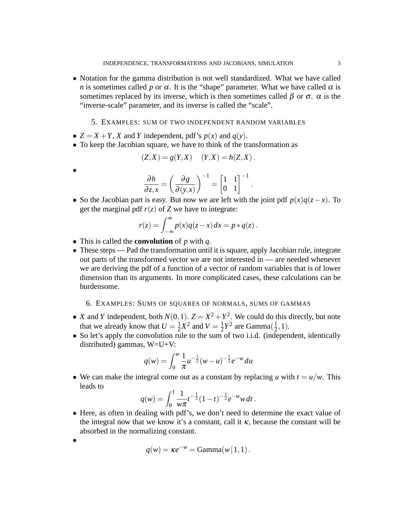• Notation for the gamma distribution is not well standardized. What we have called *n* is sometimes called *p* or  $\alpha$ . It is the "shape" parameter. What we have called  $\alpha$  is sometimes replaced by its inverse, which is then sometimes called  $\beta$  or  $\sigma$ .  $\alpha$  is the "inverse-scale" parameter, and its inverse is called the "scale".

# 5. EXAMPLES: SUM OF TWO INDEPENDENT RANDOM VARIABLES

- $Z = X + Y$ , *X* and *Y* independent, pdf's  $p(x)$  and  $q(y)$ .
- To keep the Jacobian square, we have to think of the transformation as

$$
(Z,X) = g(Y,X) \quad (Y,X) = h(Z,X) \, .
$$

•

•

$$
\frac{\partial h}{\partial z, x} = \left(\frac{\partial g}{\partial (y, x)}\right)^{-1} = \left[\begin{matrix} 1 & 1 \\ 0 & 1 \end{matrix}\right]^{-1}.
$$

• So the Jacobian part is easy. But now we are left with the joint pdf  $p(x)q(z-x)$ . To get the marginal pdf  $r(z)$  of *Z* we have to integrate:

$$
r(z) = \int_{-\infty}^{\infty} p(x)q(z-x) dx = p * q(z).
$$

- This is called the **convolution** of *p* with *q*.
- These steps Pad the transformation until it is square, apply Jacobian rule, integrate out parts of the transformed vector we are not interested in — are needed whenever we are deriving the pdf of a function of a vector of random variables that is of lower dimension than its arguments. In more complicated cases, these calculations can be burdensome.

# 6. EXAMPLES: SUMS OF SQUARES OF NORMALS, SUMS OF GAMMAS

- *X* and *Y* independent, both  $N(0,1)$ .  $Z = X^2 + Y^2$ . We could do this directly, but note that we already know that  $U = \frac{1}{2}$  $\frac{1}{2}X^2$  and  $V = \frac{1}{2}$  $\frac{1}{2}Y^2$  are Gamma $(\frac{1}{2})$  $(\frac{1}{2}, 1).$
- So let's apply the convolution rule to the sum of two i.i.d. (independent, identically distributed) gammas, W=U+V:

$$
q(w) = \int_0^w \frac{1}{\pi} u^{-\frac{1}{2}} (w - u)^{-\frac{1}{2}} e^{-w} du
$$

• We can make the integral come out as a constant by replacing *u* with  $t = u/w$ . This leads to

$$
q(w) = \int_0^1 \frac{1}{w\pi} t^{-\frac{1}{2}} (1-t)^{-\frac{1}{2}} e^{-w} w dt.
$$

• Here, as often in dealing with pdf's, we don't need to determine the exact value of the integral now that we know it's a constant, call it  $\kappa$ , because the constant will be absorbed in the normalizing constant.

$$
q(w) = \kappa e^{-w} = \text{Gamma}(w \mid 1, 1).
$$